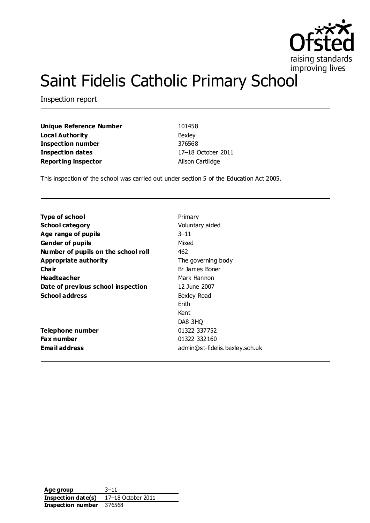

# Saint Fidelis Catholic Primary School

Inspection report

**Unique Reference Number** 101458 **Local Authority** Bexley **Inspection number** 376568 **Inspection dates** 17–18 October 2011 **Reporting inspector Alison Cartlidge** 

This inspection of the school was carried out under section 5 of the Education Act 2005.

| <b>Type of school</b>               | Primary                        |
|-------------------------------------|--------------------------------|
| <b>School category</b>              | Voluntary aided                |
| Age range of pupils                 | $3 - 11$                       |
| <b>Gender of pupils</b>             | Mixed                          |
| Number of pupils on the school roll | 462                            |
| Appropriate authority               | The governing body             |
| Cha ir                              | Br James Boner                 |
| <b>Headteacher</b>                  | Mark Hannon                    |
| Date of previous school inspection  | 12 June 2007                   |
| <b>School address</b>               | Bexley Road                    |
|                                     | Frith                          |
|                                     | Kent                           |
|                                     | DA8 3HO                        |
| Telephone number                    | 01322 337752                   |
| <b>Fax number</b>                   | 01322 332160                   |
| Email address                       | admin@st-fidelis.bexley.sch.uk |
|                                     |                                |

**Age group** 3–11 **Inspection date(s)** 17–18 October 2011 **Inspection number** 376568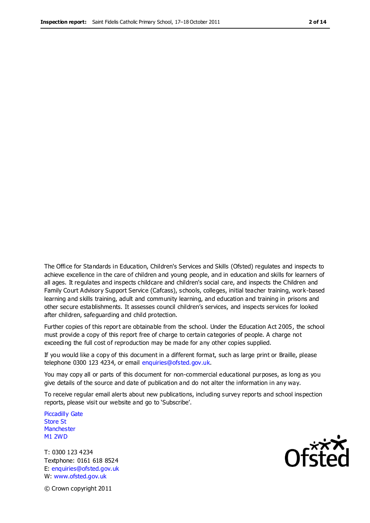The Office for Standards in Education, Children's Services and Skills (Ofsted) regulates and inspects to achieve excellence in the care of children and young people, and in education and skills for learners of all ages. It regulates and inspects childcare and children's social care, and inspects the Children and Family Court Advisory Support Service (Cafcass), schools, colleges, initial teacher training, work-based learning and skills training, adult and community learning, and education and training in prisons and other secure establishments. It assesses council children's services, and inspects services for looked after children, safeguarding and child protection.

Further copies of this report are obtainable from the school. Under the Education Act 2005, the school must provide a copy of this report free of charge to certain categories of people. A charge not exceeding the full cost of reproduction may be made for any other copies supplied.

If you would like a copy of this document in a different format, such as large print or Braille, please telephone 0300 123 4234, or email enquiries@ofsted.gov.uk.

You may copy all or parts of this document for non-commercial educational purposes, as long as you give details of the source and date of publication and do not alter the information in any way.

To receive regular email alerts about new publications, including survey reports and school inspection reports, please visit our website and go to 'Subscribe'.

Piccadilly Gate Store St **Manchester** M1 2WD

T: 0300 123 4234 Textphone: 0161 618 8524 E: enquiries@ofsted.gov.uk W: www.ofsted.gov.uk

**Ofsted** 

© Crown copyright 2011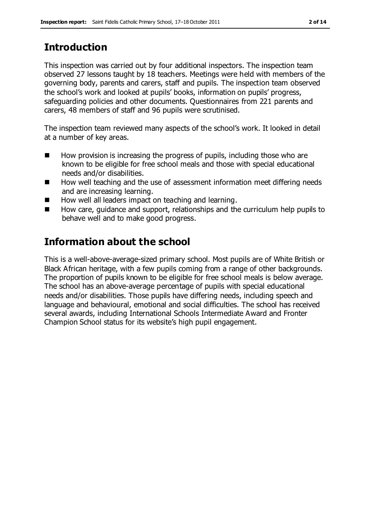# **Introduction**

This inspection was carried out by four additional inspectors. The inspection team observed 27 lessons taught by 18 teachers. Meetings were held with members of the governing body, parents and carers, staff and pupils. The inspection team observed the school's work and looked at pupils' books, information on pupils' progress, safeguarding policies and other documents. Questionnaires from 221 parents and carers, 48 members of staff and 96 pupils were scrutinised.

The inspection team reviewed many aspects of the school's work. It looked in detail at a number of key areas.

- $\blacksquare$  How provision is increasing the progress of pupils, including those who are known to be eligible for free school meals and those with special educational needs and/or disabilities.
- How well teaching and the use of assessment information meet differing needs and are increasing learning.
- How well all leaders impact on teaching and learning.
- $\blacksquare$  How care, guidance and support, relationships and the curriculum help pupils to behave well and to make good progress.

# **Information about the school**

This is a well-above-average-sized primary school. Most pupils are of White British or Black African heritage, with a few pupils coming from a range of other backgrounds. The proportion of pupils known to be eligible for free school meals is below average. The school has an above-average percentage of pupils with special educational needs and/or disabilities. Those pupils have differing needs, including speech and language and behavioural, emotional and social difficulties. The school has received several awards, including International Schools Intermediate Award and Fronter Champion School status for its website's high pupil engagement.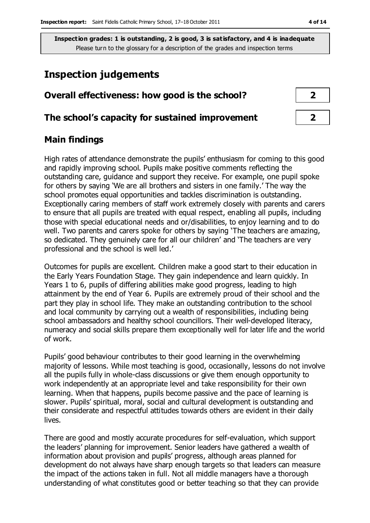# **Inspection judgements**

| Overall effectiveness: how good is the school?  |  |  |
|-------------------------------------------------|--|--|
| The school's capacity for sustained improvement |  |  |

## **Main findings**

High rates of attendance demonstrate the pupils' enthusiasm for coming to this good and rapidly improving school. Pupils make positive comments reflecting the outstanding care, guidance and support they receive. For example, one pupil spoke for others by saying 'We are all brothers and sisters in one family.' The way the school promotes equal opportunities and tackles discrimination is outstanding. Exceptionally caring members of staff work extremely closely with parents and carers to ensure that all pupils are treated with equal respect, enabling all pupils, including those with special educational needs and or/disabilities, to enjoy learning and to do well. Two parents and carers spoke for others by saying 'The teachers are amazing, so dedicated. They genuinely care for all our children' and 'The teachers are very professional and the school is well led.'

Outcomes for pupils are excellent. Children make a good start to their education in the Early Years Foundation Stage. They gain independence and learn quickly. In Years 1 to 6, pupils of differing abilities make good progress, leading to high attainment by the end of Year 6. Pupils are extremely proud of their school and the part they play in school life. They make an outstanding contribution to the school and local community by carrying out a wealth of responsibilities, including being school ambassadors and healthy school councillors. Their well-developed literacy, numeracy and social skills prepare them exceptionally well for later life and the world of work.

Pupils' good behaviour contributes to their good learning in the overwhelming majority of lessons. While most teaching is good, occasionally, lessons do not involve all the pupils fully in whole-class discussions or give them enough opportunity to work independently at an appropriate level and take responsibility for their own learning. When that happens, pupils become passive and the pace of learning is slower. Pupils' spiritual, moral, social and cultural development is outstanding and their considerate and respectful attitudes towards others are evident in their daily lives.

There are good and mostly accurate procedures for self-evaluation, which support the leaders' planning for improvement. Senior leaders have gathered a wealth of information about provision and pupils' progress, although areas planned for development do not always have sharp enough targets so that leaders can measure the impact of the actions taken in full. Not all middle managers have a thorough understanding of what constitutes good or better teaching so that they can provide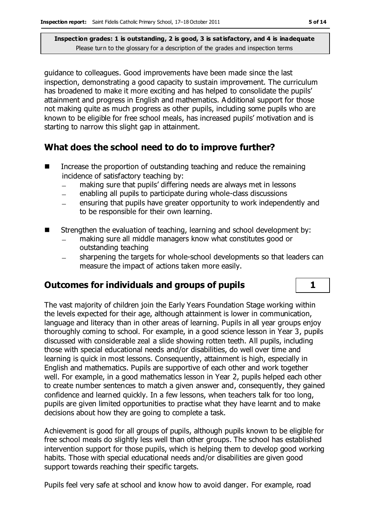guidance to colleagues. Good improvements have been made since the last inspection, demonstrating a good capacity to sustain improvement. The curriculum has broadened to make it more exciting and has helped to consolidate the pupils' attainment and progress in English and mathematics. Additional support for those not making quite as much progress as other pupils, including some pupils who are known to be eligible for free school meals, has increased pupils' motivation and is starting to narrow this slight gap in attainment.

## **What does the school need to do to improve further?**

- $\blacksquare$  Increase the proportion of outstanding teaching and reduce the remaining incidence of satisfactory teaching by:
	- making sure that pupils' differing needs are always met in lessons
	- enabling all pupils to participate during whole-class discussions  $\overline{\phantom{a}}$
	- ensuring that pupils have greater opportunity to work independently and to be responsible for their own learning.
- Strengthen the evaluation of teaching, learning and school development by:
	- making sure all middle managers know what constitutes good or outstanding teaching
	- sharpening the targets for whole-school developments so that leaders can measure the impact of actions taken more easily.

## **Outcomes for individuals and groups of pupils 1**

The vast majority of children join the Early Years Foundation Stage working within the levels expected for their age, although attainment is lower in communication, language and literacy than in other areas of learning. Pupils in all year groups enjoy thoroughly coming to school. For example, in a good science lesson in Year 3, pupils discussed with considerable zeal a slide showing rotten teeth. All pupils, including those with special educational needs and/or disabilities, do well over time and learning is quick in most lessons. Consequently, attainment is high, especially in English and mathematics. Pupils are supportive of each other and work together well. For example, in a good mathematics lesson in Year 2, pupils helped each other to create number sentences to match a given answer and, consequently, they gained confidence and learned quickly. In a few lessons, when teachers talk for too long, pupils are given limited opportunities to practise what they have learnt and to make decisions about how they are going to complete a task.

Achievement is good for all groups of pupils, although pupils known to be eligible for free school meals do slightly less well than other groups. The school has established intervention support for those pupils, which is helping them to develop good working habits. Those with special educational needs and/or disabilities are given good support towards reaching their specific targets.

Pupils feel very safe at school and know how to avoid danger. For example, road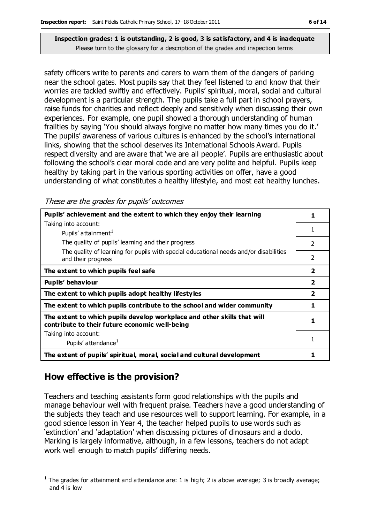safety officers write to parents and carers to warn them of the dangers of parking near the school gates. Most pupils say that they feel listened to and know that their worries are tackled swiftly and effectively. Pupils' spiritual, moral, social and cultural development is a particular strength. The pupils take a full part in school prayers, raise funds for charities and reflect deeply and sensitively when discussing their own experiences. For example, one pupil showed a thorough understanding of human frailties by saying 'You should always forgive no matter how many times you do it.' The pupils' awareness of various cultures is enhanced by the school's international links, showing that the school deserves its International Schools Award. Pupils respect diversity and are aware that 'we are all people'. Pupils are enthusiastic about following the school's clear moral code and are very polite and helpful. Pupils keep healthy by taking part in the various sporting activities on offer, have a good understanding of what constitutes a healthy lifestyle, and most eat healthy lunches.

These are the grades for pupils' outcomes

| Pupils' achievement and the extent to which they enjoy their learning                                                     |                |
|---------------------------------------------------------------------------------------------------------------------------|----------------|
| Taking into account:                                                                                                      |                |
| Pupils' attainment <sup>1</sup>                                                                                           | 1              |
| The quality of pupils' learning and their progress                                                                        | $\mathfrak{p}$ |
| The quality of learning for pupils with special educational needs and/or disabilities<br>and their progress               | 2              |
| The extent to which pupils feel safe                                                                                      | $\overline{2}$ |
| Pupils' behaviour                                                                                                         | $\overline{2}$ |
| The extent to which pupils adopt healthy lifestyles                                                                       | $\overline{2}$ |
| The extent to which pupils contribute to the school and wider community                                                   | 1              |
| The extent to which pupils develop workplace and other skills that will<br>contribute to their future economic well-being | 1              |
| Taking into account:                                                                                                      |                |
| Pupils' attendance <sup>1</sup>                                                                                           |                |
| The extent of pupils' spiritual, moral, social and cultural development                                                   |                |

## **How effective is the provision?**

Teachers and teaching assistants form good relationships with the pupils and manage behaviour well with frequent praise. Teachers have a good understanding of the subjects they teach and use resources well to support learning. For example, in a good science lesson in Year 4, the teacher helped pupils to use words such as 'extinction' and 'adaptation' when discussing pictures of dinosaurs and a dodo. Marking is largely informative, although, in a few lessons, teachers do not adapt work well enough to match pupils' differing needs.

 $\overline{a}$ <sup>1</sup> The grades for attainment and attendance are: 1 is high; 2 is above average; 3 is broadly average; and 4 is low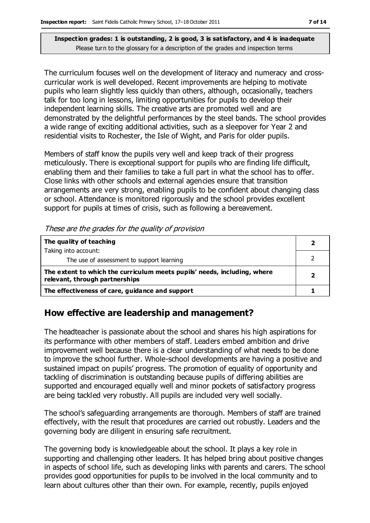The curriculum focuses well on the development of literacy and numeracy and crosscurricular work is well developed. Recent improvements are helping to motivate pupils who learn slightly less quickly than others, although, occasionally, teachers talk for too long in lessons, limiting opportunities for pupils to develop their independent learning skills. The creative arts are promoted well and are demonstrated by the delightful performances by the steel bands. The school provides a wide range of exciting additional activities, such as a sleepover for Year 2 and residential visits to Rochester, the Isle of Wight, and Paris for older pupils.

Members of staff know the pupils very well and keep track of their progress meticulously. There is exceptional support for pupils who are finding life difficult, enabling them and their families to take a full part in what the school has to offer. Close links with other schools and external agencies ensure that transition arrangements are very strong, enabling pupils to be confident about changing class or school. Attendance is monitored rigorously and the school provides excellent support for pupils at times of crisis, such as following a bereavement.

| The quality of teaching                                                                                    |  |
|------------------------------------------------------------------------------------------------------------|--|
| Taking into account:                                                                                       |  |
| The use of assessment to support learning                                                                  |  |
| The extent to which the curriculum meets pupils' needs, including, where<br>relevant, through partnerships |  |
| The effectiveness of care, guidance and support                                                            |  |

## **How effective are leadership and management?**

The headteacher is passionate about the school and shares his high aspirations for its performance with other members of staff. Leaders embed ambition and drive improvement well because there is a clear understanding of what needs to be done to improve the school further. Whole-school developments are having a positive and sustained impact on pupils' progress. The promotion of equality of opportunity and tackling of discrimination is outstanding because pupils of differing abilities are supported and encouraged equally well and minor pockets of satisfactory progress are being tackled very robustly. All pupils are included very well socially.

The school's safeguarding arrangements are thorough. Members of staff are trained effectively, with the result that procedures are carried out robustly. Leaders and the governing body are diligent in ensuring safe recruitment.

The governing body is knowledgeable about the school. It plays a key role in supporting and challenging other leaders. It has helped bring about positive changes in aspects of school life, such as developing links with parents and carers. The school provides good opportunities for pupils to be involved in the local community and to learn about cultures other than their own. For example, recently, pupils enjoyed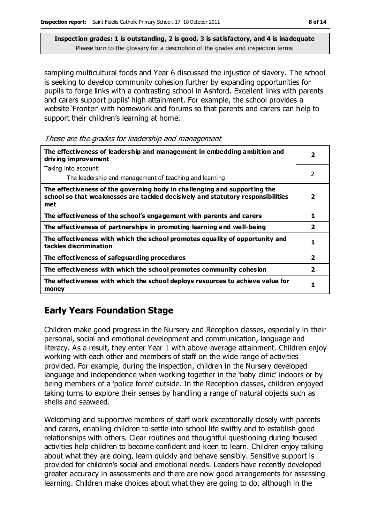sampling multicultural foods and Year 6 discussed the injustice of slavery. The school is seeking to develop community cohesion further by expanding opportunities for pupils to forge links with a contrasting school in Ashford. Excellent links with parents and carers support pupils' high attainment. For example, the school provides a website 'Fronter' with homework and forums so that parents and carers can help to support their children's learning at home.

These are the grades for leadership and management

| The effectiveness of leadership and management in embedding ambition and<br>driving improvement                                                                     |                         |
|---------------------------------------------------------------------------------------------------------------------------------------------------------------------|-------------------------|
| Taking into account:                                                                                                                                                |                         |
| The leadership and management of teaching and learning                                                                                                              | 2                       |
| The effectiveness of the governing body in challenging and supporting the<br>school so that weaknesses are tackled decisively and statutory responsibilities<br>met | 2                       |
| The effectiveness of the school's engagement with parents and carers                                                                                                | 1                       |
| The effectiveness of partnerships in promoting learning and well-being                                                                                              | $\overline{2}$          |
| The effectiveness with which the school promotes equality of opportunity and<br>tackles discrimination                                                              | 1                       |
| The effectiveness of safeguarding procedures                                                                                                                        | $\overline{\mathbf{2}}$ |
| The effectiveness with which the school promotes community cohesion                                                                                                 | $\overline{\mathbf{2}}$ |
| The effectiveness with which the school deploys resources to achieve value for<br>money                                                                             | 1                       |

## **Early Years Foundation Stage**

Children make good progress in the Nursery and Reception classes, especially in their personal, social and emotional development and communication, language and literacy. As a result, they enter Year 1 with above-average attainment. Children enjoy working with each other and members of staff on the wide range of activities provided. For example, during the inspection, children in the Nursery developed language and independence when working together in the 'baby clinic' indoors or by being members of a 'police force' outside. In the Reception classes, children enjoyed taking turns to explore their senses by handling a range of natural objects such as shells and seaweed.

Welcoming and supportive members of staff work exceptionally closely with parents and carers, enabling children to settle into school life swiftly and to establish good relationships with others. Clear routines and thoughtful questioning during focused activities help children to become confident and keen to learn. Children enjoy talking about what they are doing, learn quickly and behave sensibly. Sensitive support is provided for children's social and emotional needs. Leaders have recently developed greater accuracy in assessments and there are now good arrangements for assessing learning. Children make choices about what they are going to do, although in the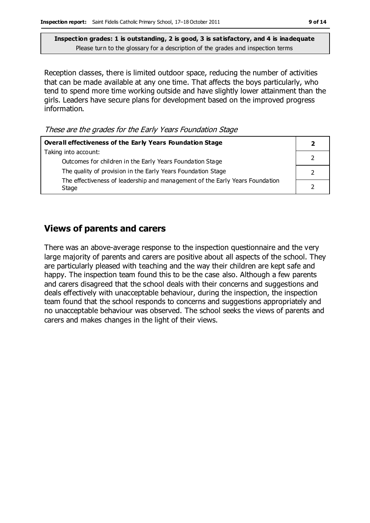Reception classes, there is limited outdoor space, reducing the number of activities that can be made available at any one time. That affects the boys particularly, who tend to spend more time working outside and have slightly lower attainment than the girls. Leaders have secure plans for development based on the improved progress information.

These are the grades for the Early Years Foundation Stage

| Overall effectiveness of the Early Years Foundation Stage                             |  |
|---------------------------------------------------------------------------------------|--|
| Taking into account:                                                                  |  |
| Outcomes for children in the Early Years Foundation Stage                             |  |
| The quality of provision in the Early Years Foundation Stage                          |  |
| The effectiveness of leadership and management of the Early Years Foundation<br>Stage |  |

#### **Views of parents and carers**

There was an above-average response to the inspection questionnaire and the very large majority of parents and carers are positive about all aspects of the school. They are particularly pleased with teaching and the way their children are kept safe and happy. The inspection team found this to be the case also. Although a few parents and carers disagreed that the school deals with their concerns and suggestions and deals effectively with unacceptable behaviour, during the inspection, the inspection team found that the school responds to concerns and suggestions appropriately and no unacceptable behaviour was observed. The school seeks the views of parents and carers and makes changes in the light of their views.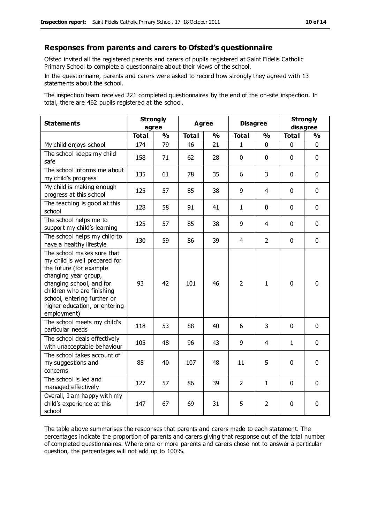#### **Responses from parents and carers to Ofsted's questionnaire**

Ofsted invited all the registered parents and carers of pupils registered at Saint Fidelis Catholic Primary School to complete a questionnaire about their views of the school.

In the questionnaire, parents and carers were asked to record how strongly they agreed with 13 statements about the school.

The inspection team received 221 completed questionnaires by the end of the on-site inspection. In total, there are 462 pupils registered at the school.

| <b>Statements</b>                                                                                                                                                                                                                                       | <b>Strongly</b><br>agree |               | <b>Agree</b> |               |                | <b>Disagree</b> |              | <b>Strongly</b><br>disagree |  |
|---------------------------------------------------------------------------------------------------------------------------------------------------------------------------------------------------------------------------------------------------------|--------------------------|---------------|--------------|---------------|----------------|-----------------|--------------|-----------------------------|--|
|                                                                                                                                                                                                                                                         | <b>Total</b>             | $\frac{1}{2}$ | <b>Total</b> | $\frac{1}{2}$ | <b>Total</b>   | $\frac{0}{0}$   | <b>Total</b> | %                           |  |
| My child enjoys school                                                                                                                                                                                                                                  | 174                      | 79            | 46           | 21            | $\mathbf{1}$   | $\mathbf 0$     | 0            | $\mathbf 0$                 |  |
| The school keeps my child<br>safe                                                                                                                                                                                                                       | 158                      | 71            | 62           | 28            | $\mathbf 0$    | $\mathbf 0$     | $\mathbf 0$  | $\mathbf 0$                 |  |
| The school informs me about<br>my child's progress                                                                                                                                                                                                      | 135                      | 61            | 78           | 35            | 6              | 3               | $\mathbf 0$  | $\mathbf 0$                 |  |
| My child is making enough<br>progress at this school                                                                                                                                                                                                    | 125                      | 57            | 85           | 38            | 9              | 4               | $\Omega$     | $\mathbf 0$                 |  |
| The teaching is good at this<br>school                                                                                                                                                                                                                  | 128                      | 58            | 91           | 41            | $\mathbf{1}$   | $\mathbf 0$     | $\Omega$     | $\mathbf 0$                 |  |
| The school helps me to<br>support my child's learning                                                                                                                                                                                                   | 125                      | 57            | 85           | 38            | 9              | 4               | $\Omega$     | $\mathbf 0$                 |  |
| The school helps my child to<br>have a healthy lifestyle                                                                                                                                                                                                | 130                      | 59            | 86           | 39            | $\overline{4}$ | $\overline{2}$  | $\mathbf 0$  | $\mathbf 0$                 |  |
| The school makes sure that<br>my child is well prepared for<br>the future (for example<br>changing year group,<br>changing school, and for<br>children who are finishing<br>school, entering further or<br>higher education, or entering<br>employment) | 93                       | 42            | 101          | 46            | $\overline{2}$ | $\mathbf{1}$    | $\mathbf{0}$ | $\mathbf 0$                 |  |
| The school meets my child's<br>particular needs                                                                                                                                                                                                         | 118                      | 53            | 88           | 40            | 6              | 3               | $\mathbf{0}$ | $\mathbf 0$                 |  |
| The school deals effectively<br>with unacceptable behaviour                                                                                                                                                                                             | 105                      | 48            | 96           | 43            | 9              | 4               | $\mathbf{1}$ | $\mathbf 0$                 |  |
| The school takes account of<br>my suggestions and<br>concerns                                                                                                                                                                                           | 88                       | 40            | 107          | 48            | 11             | 5               | $\mathbf 0$  | $\mathbf 0$                 |  |
| The school is led and<br>managed effectively                                                                                                                                                                                                            | 127                      | 57            | 86           | 39            | $\overline{2}$ | 1               | $\mathbf 0$  | $\mathbf 0$                 |  |
| Overall, I am happy with my<br>child's experience at this<br>school                                                                                                                                                                                     | 147                      | 67            | 69           | 31            | 5              | 2               | $\mathbf 0$  | $\mathbf 0$                 |  |

The table above summarises the responses that parents and carers made to each statement. The percentages indicate the proportion of parents and carers giving that response out of the total number of completed questionnaires. Where one or more parents and carers chose not to answer a particular question, the percentages will not add up to 100%.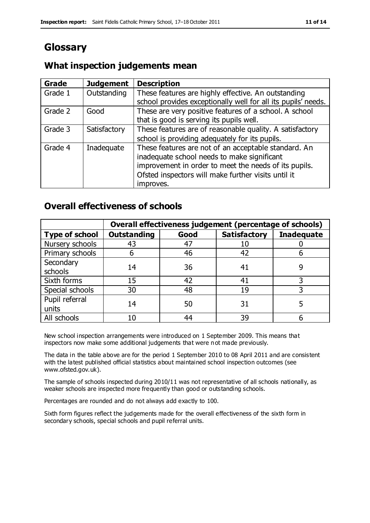# **Glossary**

## **What inspection judgements mean**

| <b>Grade</b> | <b>Judgement</b> | <b>Description</b>                                            |
|--------------|------------------|---------------------------------------------------------------|
| Grade 1      | Outstanding      | These features are highly effective. An outstanding           |
|              |                  | school provides exceptionally well for all its pupils' needs. |
| Grade 2      | Good             | These are very positive features of a school. A school        |
|              |                  | that is good is serving its pupils well.                      |
| Grade 3      | Satisfactory     | These features are of reasonable quality. A satisfactory      |
|              |                  | school is providing adequately for its pupils.                |
| Grade 4      | Inadequate       | These features are not of an acceptable standard. An          |
|              |                  | inadequate school needs to make significant                   |
|              |                  | improvement in order to meet the needs of its pupils.         |
|              |                  | Ofsted inspectors will make further visits until it           |
|              |                  | improves.                                                     |

## **Overall effectiveness of schools**

|                       |                    |      | Overall effectiveness judgement (percentage of schools) |                   |  |
|-----------------------|--------------------|------|---------------------------------------------------------|-------------------|--|
| <b>Type of school</b> | <b>Outstanding</b> | Good | <b>Satisfactory</b>                                     | <b>Inadequate</b> |  |
| Nursery schools       | 43                 | 47   | 10                                                      |                   |  |
| Primary schools       | ჩ                  | 46   | 42                                                      |                   |  |
| Secondary             | 14                 | 36   |                                                         |                   |  |
| schools               |                    |      | 41                                                      |                   |  |
| Sixth forms           | 15                 | 42   | 41                                                      |                   |  |
| Special schools       | 30                 | 48   | 19                                                      |                   |  |
| Pupil referral        | 14                 | 50   | 31                                                      |                   |  |
| units                 |                    |      |                                                         |                   |  |
| All schools           | 10                 | 44   | 39                                                      |                   |  |

New school inspection arrangements were introduced on 1 September 2009. This means that inspectors now make some additional judgements that were not made previously.

The data in the table above are for the period 1 September 2010 to 08 April 2011 and are consistent with the latest published official statistics about maintained school inspection outcomes (see www.ofsted.gov.uk).

The sample of schools inspected during 2010/11 was not representative of all schools nationally, as weaker schools are inspected more frequently than good or outstanding schools.

Percentages are rounded and do not always add exactly to 100.

Sixth form figures reflect the judgements made for the overall effectiveness of the sixth form in secondary schools, special schools and pupil referral units.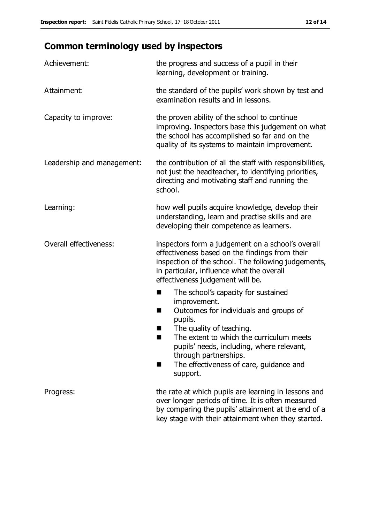# **Common terminology used by inspectors**

| Achievement:                  | the progress and success of a pupil in their<br>learning, development or training.                                                                                                                                                                                                                                           |
|-------------------------------|------------------------------------------------------------------------------------------------------------------------------------------------------------------------------------------------------------------------------------------------------------------------------------------------------------------------------|
| Attainment:                   | the standard of the pupils' work shown by test and<br>examination results and in lessons.                                                                                                                                                                                                                                    |
| Capacity to improve:          | the proven ability of the school to continue<br>improving. Inspectors base this judgement on what<br>the school has accomplished so far and on the<br>quality of its systems to maintain improvement.                                                                                                                        |
| Leadership and management:    | the contribution of all the staff with responsibilities,<br>not just the headteacher, to identifying priorities,<br>directing and motivating staff and running the<br>school.                                                                                                                                                |
| Learning:                     | how well pupils acquire knowledge, develop their<br>understanding, learn and practise skills and are<br>developing their competence as learners.                                                                                                                                                                             |
| <b>Overall effectiveness:</b> | inspectors form a judgement on a school's overall<br>effectiveness based on the findings from their<br>inspection of the school. The following judgements,<br>in particular, influence what the overall<br>effectiveness judgement will be.                                                                                  |
|                               | The school's capacity for sustained<br>■<br>improvement.<br>Outcomes for individuals and groups of<br>H<br>pupils.<br>The quality of teaching.<br>The extent to which the curriculum meets<br>pupils' needs, including, where relevant,<br>through partnerships.<br>The effectiveness of care, guidance and<br>٠<br>support. |
| Progress:                     | the rate at which pupils are learning in lessons and<br>over longer periods of time. It is often measured<br>by comparing the pupils' attainment at the end of a<br>key stage with their attainment when they started.                                                                                                       |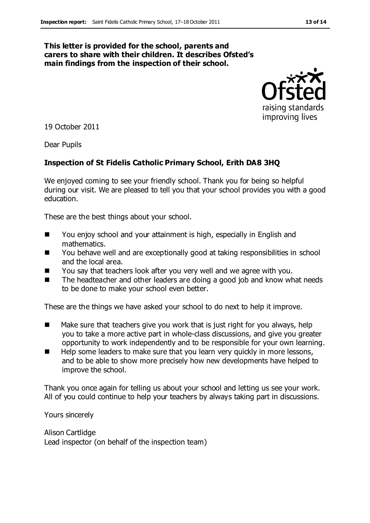#### **This letter is provided for the school, parents and carers to share with their children. It describes Ofsted's main findings from the inspection of their school.**



19 October 2011

Dear Pupils

#### **Inspection of St Fidelis Catholic Primary School, Erith DA8 3HQ**

We enjoyed coming to see your friendly school. Thank you for being so helpful during our visit. We are pleased to tell you that your school provides you with a good education.

These are the best things about your school.

- You enjoy school and your attainment is high, especially in English and mathematics.
- You behave well and are exceptionally good at taking responsibilities in school and the local area.
- You say that teachers look after you very well and we agree with you.
- The headteacher and other leaders are doing a good job and know what needs to be done to make your school even better.

These are the things we have asked your school to do next to help it improve.

- $\blacksquare$  Make sure that teachers give you work that is just right for you always, help you to take a more active part in whole-class discussions, and give you greater opportunity to work independently and to be responsible for your own learning.
- Help some leaders to make sure that you learn very quickly in more lessons, and to be able to show more precisely how new developments have helped to improve the school.

Thank you once again for telling us about your school and letting us see your work. All of you could continue to help your teachers by always taking part in discussions.

Yours sincerely

Alison Cartlidge Lead inspector (on behalf of the inspection team)